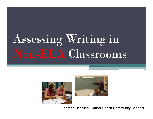# Assessing Writing in Non-ELA Classrooms





Theresa Hessling, Harbor Beach Community Schools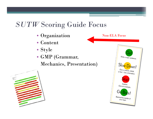# *SUTW* Scoring Guide Focus

- Organization
- Content
- Style
- GMP (Grammar,

#### Mechanics, Presentation)



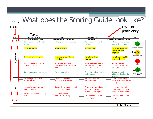#### What does the Scoring Guide look like? Focus areaLevel of proficiency <u>Topic:</u> Basic (C) Proficient (B) Advanced (A) **Score Below Basic (D)** Little or no attempt a a plan Attempts a plan: plan sketchy **Clear Plan** Thorough Plan with useful details. Topic Sentence clearly Topic Sentence is absent or Attempts a topic sentence Strong topic sentence unclear fits topic clearly fits the topic. Write a topic sentenc Facts are unclear Facts are clear Accurate facts Facts are shared with confidence and Slow Down! emphasis Organization Give a reason, detail No or incorrect transitions **Transitions smoothly Transitions are not used Transitions fit the** or fact. Use a transition effectively connect all ideas purpose Some good examples & No examples/explanations to Few/Weak examples/ Many examples: Explain support the topic. clear explanations to explanations to support the significant evidence to Give an example support the topic topic. support the topic No or inappropriate conclusion Weak conclusion Solid conclusion restates Strong conclusion Remind the reader of addresses the topic in topic sentence vour topic. new way Not enough information: Quality and quantity of Repeated information or it All information relates to unclear information. information educates the wanders from the topic. the prompt/topic reader Inaccurate, confusing, or Incomplete examples; need Examples/explanations highly accurate and, Content omitted examples further clarification. help reader clearly explanations, interesting understand the topic examples and evidence No clear connection to prompt/ Accurate response, but Clearly addresses the Fully develops a prompt topic topic is not developed prompt/topic enough or topic **Total Score**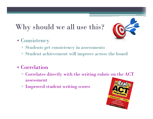# Why should we all use this?



- Consistency
	- Students get consistency in assessments
	- $\Box$ Student achievement will improve across the board
- Correlation
	- $\overline{\phantom{a}}$  Correlates directly with the writing rubric on the ACT  $\overline{\phantom{a}}$ assessment
	- ▫Improved student writing scores

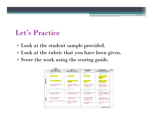#### Let's Practice

- Look at the student sample provided.
- Look at the rubric that you have been given.
- Score the work using the scoring guide.

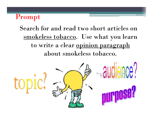#### Prompt

#### Search for and read two short articles on smokeless tobacco. Use what you learn to write a clear opinion paragraph about smokeless tobacco.

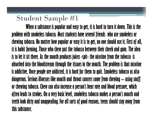### Student Sample #1

**When a substance is popular and easy to get, it is hard to turn it down. This is the problem with smokeless tobacco. Most students have several friends who use smokeless or chewing tobacco. No matter how popular or easy it is to get, no one should use it. First of all, it is habit forming. Those who chew put the tobacco between their cheek and gum. The idea is to let it sit there. As the mouth produces juices -spit- the nicotine from the tobacco is absorbed into the bloodstream through the tissues in the mouth. The problem is that nicotine is addictive. Once people are addicted, it is hard for them to quit. Smokeless tobacco us also dangerous. Serious illnesses like mouth and throat cancers come from chewing – using snuff or chewing tobacco. Chew can also increase a person's hear rate and blood pressure, which often leads to strokes. On a very basic level, smokeless tobacco makes a person's mouth and teeth look dirty and unappealing. For all sorts of good reasons, teens should stay away from this substance.**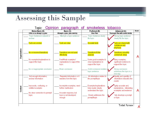#### Topic: Opinion paragraph of smokeless tobacco

|              | <b>Below Basic (D)</b>                            | Basic (C)                                                  | Proficient (B)                                                       | Advanced (A)                                                               | <b>Score</b> |
|--------------|---------------------------------------------------|------------------------------------------------------------|----------------------------------------------------------------------|----------------------------------------------------------------------------|--------------|
|              | Little or no attempt a a plan                     | Attempts a plan; plan sketchy                              | <b>Clear Plan</b>                                                    | Thorough Plan with useful details                                          |              |
|              | Topic Sentence is absent or<br>unclear            | Attempts a topic sentence                                  | Topic Sentence clearly<br>fits topic                                 | Strong topic sentence<br>clearly fits the topic.                           |              |
|              | Facts are unclear                                 | Facts are clear                                            | Accurate facts                                                       | acts are shared with<br>confidence and<br>emphasis                         |              |
| Organization | No or incorrect transitions                       | Fransitions are not used<br>effectively                    | <b>Transitions fit the</b><br>purpose                                | ransitions smoothly<br><mark>connect all lideas</mark>                     | A            |
|              | No examples/explanations to<br>support the topic. | Few/Weak examples/<br>explanations to support the<br>topic | Some good examples &<br>clear explanations to<br>support the topic   | Many examples;<br>significant evidence to<br>support the topic             |              |
|              | No or inappropriate conclusion                    | Weak conclusion                                            | Solid conclusion restates<br>topic sentence                          | <b>Strong conclusion</b><br>addresses the topic in a<br>new way            |              |
|              | Not enough information;<br>unclear information    | Repeated information or it<br>wanders from the topic       | All information relates to<br>the prompt/topic                       | Quality and quantity of<br>nformation educates the<br>reader               |              |
| Content      | Inaccurate, confusing, or<br>omitted examples     | Incomplete examples; need<br>further clarification         | Examples/explanations<br>help reader clearly<br>understand the topic | highly accurate and,<br>explanations, interesting<br>examples and evidence | A            |
|              | No clear connection to prompt/<br>topic           | Accurate response, but<br>topic is not developed<br>enough | Clearly addresses the<br>prompt/topic                                | Fully develops a prompt<br>or topic                                        |              |
|              |                                                   |                                                            |                                                                      | T.L.I.O.                                                                   |              |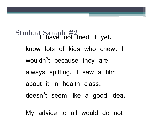Student Sample #2<br>have not tried it yet. I know lots of kids who chew. I wouldn't because they are always spitting. I saw a film about it in health class. doesn't seem like a good idea.

My advice to all would do not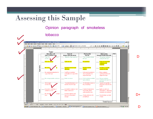#### Opinion paragraph of smokeless

#### tobacco



D

D+

D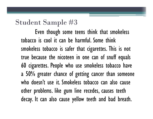### Student Sample #3

Even though some teens think that smokeless tobacco is cool it can be harmful. Some think smokeless tobacco is safer that cigarettes. This is not true because the nicoteen in one can of snuff equals 60 cigarettes. People who use smokeless tobacco have a 50% greater chance of getting cancer than someone who doesn't use it. Smokeless tobacco can also cause other problems. like gum line recedes, causes teeth decay. It can also cause yellow teeth and bad breath.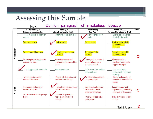#### Opinion paragraph of smokeless tobacco Topic:

|              | <b>Below Basic (D)</b>                           | Basic (C)                                                  | Proficient (B)                                                       | Advanced (A)                                                                | <b>Score</b> |
|--------------|--------------------------------------------------|------------------------------------------------------------|----------------------------------------------------------------------|-----------------------------------------------------------------------------|--------------|
| Organization | Little or no attempt a a plan                    | Attempts a plan; plan sketchy                              | <b>Clear Plan</b>                                                    | Thorough Plan with useful details                                           |              |
|              | Topic Sentence is absent or<br>unclear           | Attempts a topic sentence                                  | pic Sentence clearly<br>topic                                        | Strong topic sentence<br>clearly fits the topic                             |              |
|              | Facts are unclear                                | ts are clear                                               | Accurate facts                                                       | Facts are shared with<br>confidence and<br>emphasis                         |              |
|              | No or incorrect transitions                      | ansitions are not used<br>ectively                         | Transitions fit the<br>purpose                                       | <b>Transitions smoothly</b><br>connect all ideas                            |              |
|              | No examples/explanations to<br>support the topic | Few/Weak examples/<br>explanations to support the<br>topic | ome good examples &<br>Jear explanations to<br>support the topic     | Many examples;<br>significant evidence to<br>support the topic              |              |
|              | inappropriate conclusion                         | Weak conclusion                                            | Solid conclusion restates<br>topic sentence                          | Strong conclusion<br>addresses the topic in a<br>new way                    |              |
|              | Not enough information;<br>unclear information   | Repeated information or it<br>wanders from the topic       | Il information relates to<br>e prompt/topic                          | Quality and quantity of<br>information educates the<br>reader               |              |
| Content      | Inaccurate, confusing, or<br>omitted examples    | complete examples; need<br>further clarification           | Examples/explanations<br>help reader clearly<br>understand the topic | highly accurate and,<br>explanations, interesting<br>examples and evidence. |              |
|              | No clear connection to prompt/<br>topic          | tocurate response, but<br>topic is not developed<br>enough | Clearly addresses the<br>prompt/topic                                | Fully develops a prompt<br>or topic                                         |              |
|              |                                                  |                                                            |                                                                      | Total Scora                                                                 |              |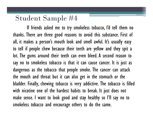#### Student Sample #4

If friends asked me to try smokeless tobacco, I'd tell them no thanks. There are three good reasons to avoid this substance. First of all, it makes a person's mouth look and smell awful. It's usually easy to tell if people chew because their teeth are yellow and they spit a lot. The gums around their teeth can even bleed. A second reason to say no to smokeless tobacco is that it can cause cancer. It is just as dangerous as the tobacco that people smoke. The cancer can attack the mouth and throat but it can also get in the stomach or the bladder. Finally, chewing tobacco is very addictive. The tobacco is filled with nicotine one of the hardest habits to break. It just does not make sense. I want to look good and stay healthy so I'll say no to smokeless tobacco and encourage others to do the same.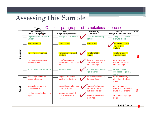#### Topic: Opinion paragraph of smokeless tobacco

|              | <b>Below Basic (D)</b>                           | Basic (C)                                                  | Proficient (B)                                                        | Advanced (A)                                                               | <b>Score</b> |
|--------------|--------------------------------------------------|------------------------------------------------------------|-----------------------------------------------------------------------|----------------------------------------------------------------------------|--------------|
|              | Little or no attempt a a plan                    | Attempts a plan; plan sketchy                              | <b>Clear Plan</b>                                                     | Thorough Plan with useful details                                          |              |
|              | Topic Sentence is absent or<br>unclear           | Attempts a topic sentence                                  | Topic Sentence clearly<br>fits topic                                  | Strong topic sentence<br>clearly fits the topic                            |              |
|              | Facts are unclear                                | Facts are clear                                            | <mark>Accurate facts</mark> :                                         | icts are shared with<br>onfidence and<br>emphasis                          |              |
| Organization | No or incorrect transitions                      | Fransitions are not used<br>effectively                    | <b>Transitions fit the</b><br>purpose                                 | Transitions smoothly<br>connect all ideas                                  |              |
|              | No examples/explanations to<br>support the topic | Few/Weak examples/<br>explanations to support the<br>topic | Some good examples &<br>clear explanations to<br>support the topic    | Many examples;<br>significant evidence to<br>support the topic             |              |
|              | No or inappropriate conclusion                   | Weak conclusion                                            | Solid conclusion restates<br>topic sentence                           | Strong conclusion<br>addresses the topic in a<br>new way                   |              |
|              | Not enough information;<br>unclear information   | Repeated information or it<br>wanders from the topic.      | All information relates to<br>the prompt/topic                        | Quality and quantity of<br>information educates the<br>reader              |              |
| Content      | Inaccurate, confusing, or<br>omitted examples    | Incomplete examples; need<br>further clarification         | :xamples/explanations<br>ielp reader clearly.<br>understand the topic | highly accurate and,<br>explanations, interesting<br>examples and evidence | B            |
|              | No clear connection to prompt/<br>topic          | Accurate response, but<br>topic is not developed<br>enough | Clearly addresses the<br>prompt/topic                                 | Fully develops a prompt<br>or topic                                        |              |
|              |                                                  |                                                            |                                                                       | Total Score                                                                | D            |